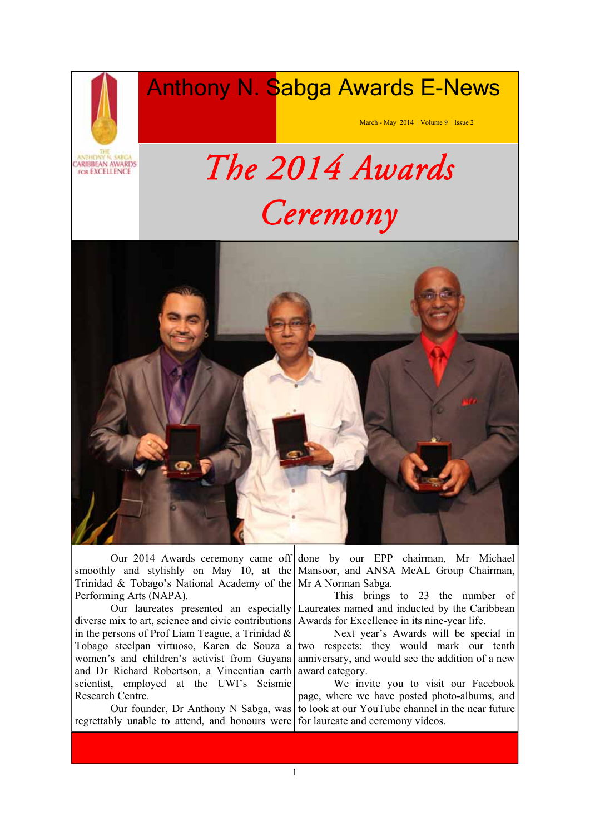# Anthony N. Sabga Awards E-News



**CARIBBEAN AWARDS** FOR EXCELLENCE

March - May 2014 | Volume 9 | Issue 2

# *The 2014 Awards Ceremony*



 Our 2014 Awards ceremony came off smoothly and stylishly on May 10, at the Trinidad & Tobago's National Academy of the Performing Arts (NAPA).

 Our laureates presented an especially diverse mix to art, science and civic contributions in the persons of Prof Liam Teague, a Trinidad & Tobago steelpan virtuoso, Karen de Souza a women's and children's activist from Guyana and Dr Richard Robertson, a Vincentian earth scientist, employed at the UWI's Seismic Research Centre.

 Our founder, Dr Anthony N Sabga, was regrettably unable to attend, and honours were

done by our EPP chairman, Mr Michael Mansoor, and ANSA McAL Group Chairman, Mr A Norman Sabga.

 This brings to 23 the number of Laureates named and inducted by the Caribbean Awards for Excellence in its nine-year life.

 Next year's Awards will be special in two respects: they would mark our tenth anniversary, and would see the addition of a new award category.

 We invite you to visit our Facebook page, where we have posted photo-albums, and to look at our YouTube channel in the near future for laureate and ceremony videos.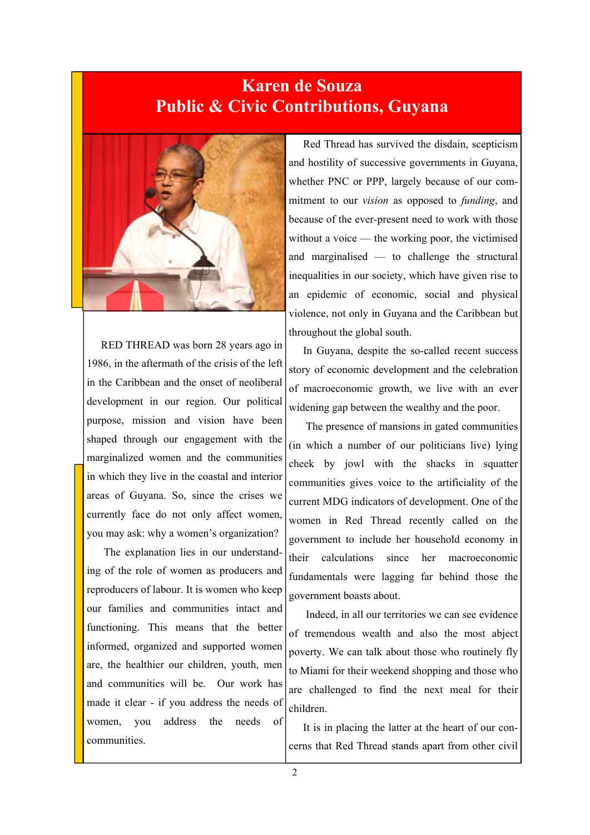# **Karen de Souza Public & Civic Contributions, Guyana**



RED THREAD was born 28 years ago in 1986, in the aftermath of the crisis of the left in the Caribbean and the onset of neoliberal development in our region. Our political purpose, mission and vision have been shaped through our engagement with the marginalized women and the communities in which they live in the coastal and interior areas of Guyana. So, since the crises we currently face do not only affect women, you may ask: why a women's organization?

 The explanation lies in our understanding of the role of women as producers and reproducers of labour. It is women who keep our families and communities intact and functioning. This means that the better informed, organized and supported women are, the healthier our children, youth, men and communities will be. Our work has made it clear - if you address the needs of women, you address the needs of communities.

Red Thread has survived the disdain, scepticism and hostility of successive governments in Guyana, whether PNC or PPP, largely because of our commitment to our *vision* as opposed to *funding*, and because of the ever-present need to work with those without a voice — the working poor, the victimised and marginalised — to challenge the structural inequalities in our society, which have given rise to an epidemic of economic, social and physical violence, not only in Guyana and the Caribbean but throughout the global south.

In Guyana, despite the so-called recent success story of economic development and the celebration of macroeconomic growth, we live with an ever widening gap between the wealthy and the poor.

 The presence of mansions in gated communities (in which a number of our politicians live) lying cheek by jowl with the shacks in squatter communities gives voice to the artificiality of the current MDG indicators of development. One of the women in Red Thread recently called on the government to include her household economy in their calculations since her macroeconomic fundamentals were lagging far behind those the government boasts about.

 Indeed, in all our territories we can see evidence of tremendous wealth and also the most abject poverty. We can talk about those who routinely fly to Miami for their weekend shopping and those who are challenged to find the next meal for their children.

It is in placing the latter at the heart of our concerns that Red Thread stands apart from other civil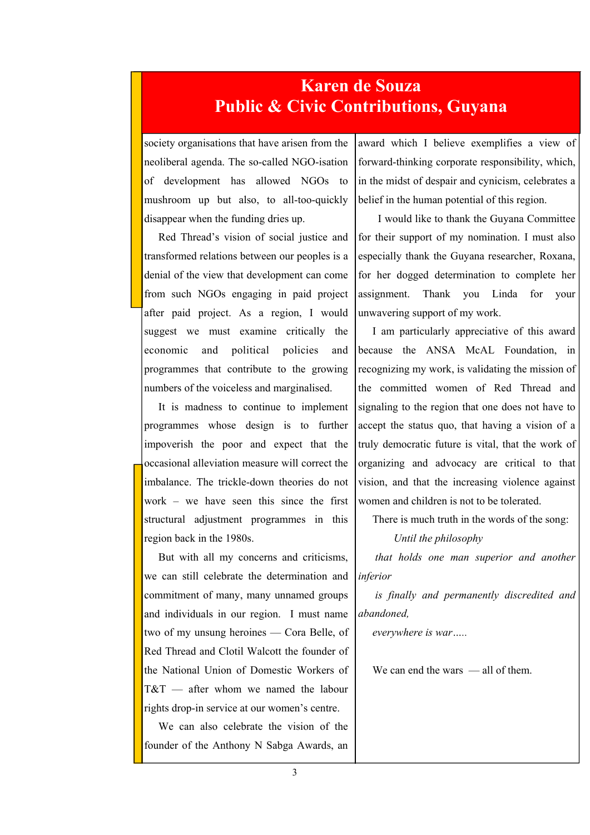# **Karen de Souza Public & Civic Contributions, Guyana**

society organisations that have arisen from the neoliberal agenda. The so-called NGO-isation of development has allowed NGOs to mushroom up but also, to all-too-quickly disappear when the funding dries up.

Red Thread's vision of social justice and transformed relations between our peoples is a denial of the view that development can come from such NGOs engaging in paid project after paid project. As a region, I would suggest we must examine critically the economic and political policies and programmes that contribute to the growing numbers of the voiceless and marginalised.

It is madness to continue to implement programmes whose design is to further impoverish the poor and expect that the occasional alleviation measure will correct the imbalance. The trickle-down theories do not work – we have seen this since the first structural adjustment programmes in this region back in the 1980s.

But with all my concerns and criticisms, we can still celebrate the determination and commitment of many, many unnamed groups and individuals in our region. I must name two of my unsung heroines — Cora Belle, of Red Thread and Clotil Walcott the founder of the National Union of Domestic Workers of T&T — after whom we named the labour rights drop-in service at our women's centre.

We can also celebrate the vision of the founder of the Anthony N Sabga Awards, an

award which I believe exemplifies a view of forward-thinking corporate responsibility, which, in the midst of despair and cynicism, celebrates a belief in the human potential of this region.

 I would like to thank the Guyana Committee for their support of my nomination. I must also especially thank the Guyana researcher, Roxana, for her dogged determination to complete her assignment. Thank you Linda for your unwavering support of my work.

I am particularly appreciative of this award because the ANSA McAL Foundation, in recognizing my work, is validating the mission of the committed women of Red Thread and signaling to the region that one does not have to accept the status quo, that having a vision of a truly democratic future is vital, that the work of organizing and advocacy are critical to that vision, and that the increasing violence against women and children is not to be tolerated.

There is much truth in the words of the song:

*Until the philosophy* 

 *that holds one man superior and another inferior* 

 *is finally and permanently discredited and abandoned,* 

*everywhere is war…..* 

We can end the wars — all of them.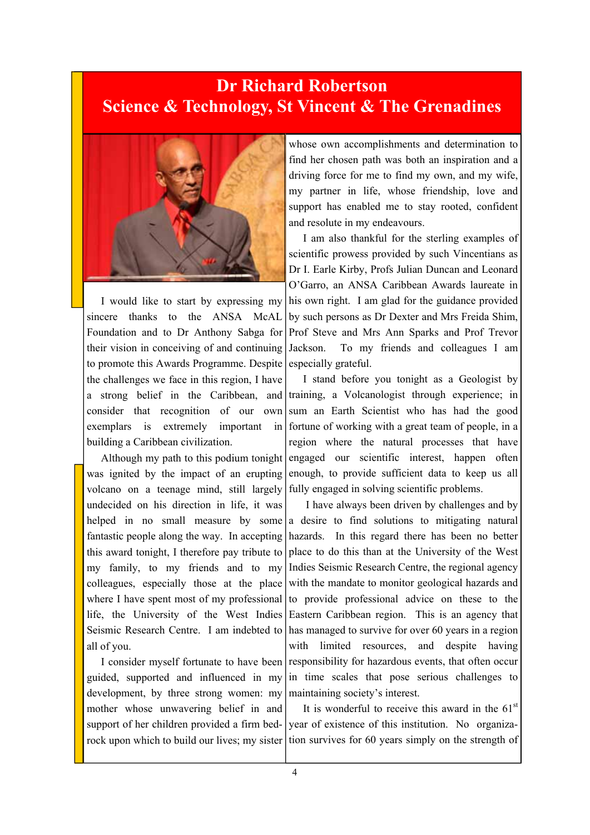### **Dr Richard Robertson Science & Technology, St Vincent & The Grenadines**



I would like to start by expressing my sincere thanks to the ANSA McAL Foundation and to Dr Anthony Sabga for their vision in conceiving of and continuing to promote this Awards Programme. Despite the challenges we face in this region, I have a strong belief in the Caribbean, and consider that recognition of our own exemplars is extremely important in building a Caribbean civilization.

Although my path to this podium tonight was ignited by the impact of an erupting volcano on a teenage mind, still largely undecided on his direction in life, it was helped in no small measure by some fantastic people along the way. In accepting this award tonight, I therefore pay tribute to my family, to my friends and to my colleagues, especially those at the place where I have spent most of my professional life, the University of the West Indies Seismic Research Centre. I am indebted to all of you.

I consider myself fortunate to have been guided, supported and influenced in my development, by three strong women: my mother whose unwavering belief in and support of her children provided a firm bedrock upon which to build our lives; my sister

whose own accomplishments and determination to find her chosen path was both an inspiration and a driving force for me to find my own, and my wife, my partner in life, whose friendship, love and support has enabled me to stay rooted, confident and resolute in my endeavours.

I am also thankful for the sterling examples of scientific prowess provided by such Vincentians as Dr I. Earle Kirby, Profs Julian Duncan and Leonard O'Garro, an ANSA Caribbean Awards laureate in his own right. I am glad for the guidance provided by such persons as Dr Dexter and Mrs Freida Shim, Prof Steve and Mrs Ann Sparks and Prof Trevor Jackson. To my friends and colleagues I am especially grateful.

I stand before you tonight as a Geologist by training, a Volcanologist through experience; in sum an Earth Scientist who has had the good fortune of working with a great team of people, in a region where the natural processes that have engaged our scientific interest, happen often enough, to provide sufficient data to keep us all fully engaged in solving scientific problems.

 I have always been driven by challenges and by a desire to find solutions to mitigating natural hazards. In this regard there has been no better place to do this than at the University of the West Indies Seismic Research Centre, the regional agency with the mandate to monitor geological hazards and to provide professional advice on these to the Eastern Caribbean region. This is an agency that has managed to survive for over 60 years in a region with limited resources, and despite having responsibility for hazardous events, that often occur in time scales that pose serious challenges to maintaining society's interest.

It is wonderful to receive this award in the  $61<sup>st</sup>$ year of existence of this institution. No organization survives for 60 years simply on the strength of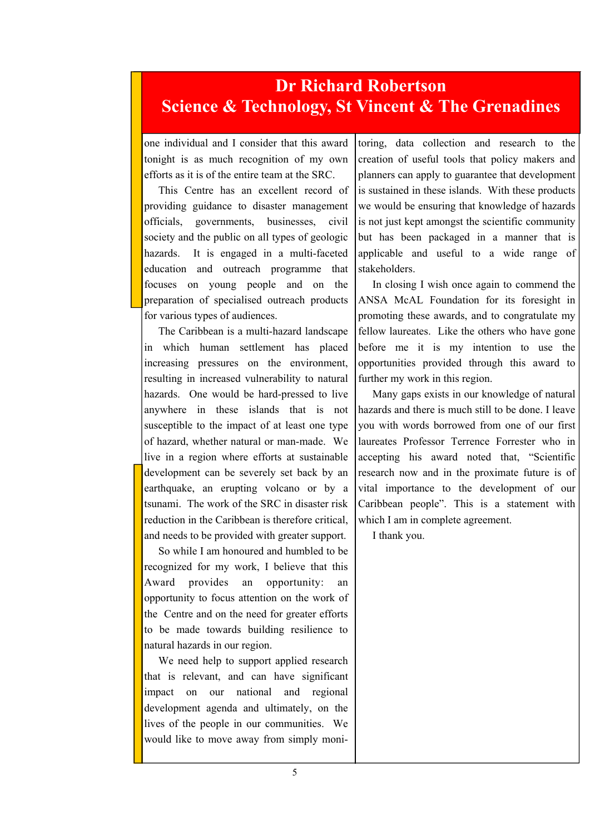## **Dr Richard Robertson Science & Technology, St Vincent & The Grenadines**

one individual and I consider that this award tonight is as much recognition of my own efforts as it is of the entire team at the SRC.

This Centre has an excellent record of providing guidance to disaster management officials, governments, businesses, civil society and the public on all types of geologic hazards. It is engaged in a multi-faceted education and outreach programme that focuses on young people and on the preparation of specialised outreach products for various types of audiences.

The Caribbean is a multi-hazard landscape in which human settlement has placed increasing pressures on the environment, resulting in increased vulnerability to natural hazards. One would be hard-pressed to live anywhere in these islands that is not susceptible to the impact of at least one type of hazard, whether natural or man-made. We live in a region where efforts at sustainable development can be severely set back by an earthquake, an erupting volcano or by a tsunami. The work of the SRC in disaster risk reduction in the Caribbean is therefore critical, and needs to be provided with greater support.

So while I am honoured and humbled to be recognized for my work, I believe that this Award provides an opportunity: an opportunity to focus attention on the work of the Centre and on the need for greater efforts to be made towards building resilience to natural hazards in our region.

We need help to support applied research that is relevant, and can have significant impact on our national and regional development agenda and ultimately, on the lives of the people in our communities. We would like to move away from simply moni-

toring, data collection and research to the creation of useful tools that policy makers and planners can apply to guarantee that development is sustained in these islands. With these products we would be ensuring that knowledge of hazards is not just kept amongst the scientific community but has been packaged in a manner that is applicable and useful to a wide range of stakeholders.

In closing I wish once again to commend the ANSA McAL Foundation for its foresight in promoting these awards, and to congratulate my fellow laureates. Like the others who have gone before me it is my intention to use the opportunities provided through this award to further my work in this region.

Many gaps exists in our knowledge of natural hazards and there is much still to be done. I leave you with words borrowed from one of our first laureates Professor Terrence Forrester who in accepting his award noted that, "Scientific research now and in the proximate future is of vital importance to the development of our Caribbean people". This is a statement with which I am in complete agreement.

I thank you.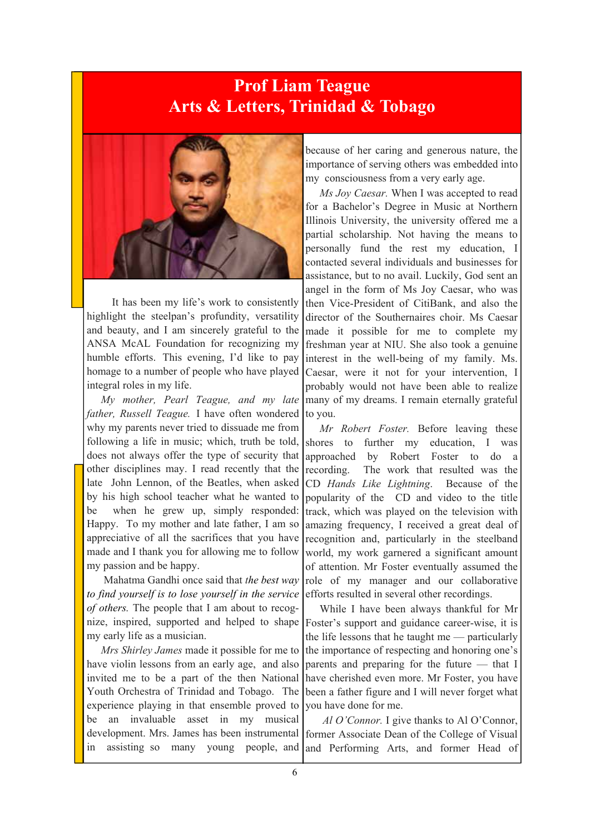#### **Prof Liam Teague Arts & Letters, Trinidad & Tobago**



 It has been my life's work to consistently highlight the steelpan's profundity, versatility and beauty, and I am sincerely grateful to the ANSA McAL Foundation for recognizing my humble efforts. This evening, I'd like to pay homage to a number of people who have played integral roles in my life.

*My mother, Pearl Teague, and my late father, Russell Teague.* I have often wondered why my parents never tried to dissuade me from following a life in music; which, truth be told, does not always offer the type of security that other disciplines may. I read recently that the late John Lennon, of the Beatles, when asked by his high school teacher what he wanted to be when he grew up, simply responded: Happy. To my mother and late father, I am so appreciative of all the sacrifices that you have made and I thank you for allowing me to follow my passion and be happy.

 Mahatma Gandhi once said that *[the best way](http://www.brainyquote.com/quotes/quotes/m/mahatmagan150725.html)  [to find yourself is to lose yourself in the service](http://www.brainyquote.com/quotes/quotes/m/mahatmagan150725.html)  [of others.](http://www.brainyquote.com/quotes/quotes/m/mahatmagan150725.html)* The people that I am about to recognize, inspired, supported and helped to shape my early life as a musician.

*Mrs Shirley James* made it possible for me to have violin lessons from an early age, and also invited me to be a part of the then National Youth Orchestra of Trinidad and Tobago. The experience playing in that ensemble proved to be an invaluable asset in my musical development. Mrs. James has been instrumental in assisting so many young people, and

because of her caring and generous nature, the importance of serving others was embedded into my consciousness from a very early age.

*Ms Joy Caesar.* When I was accepted to read for a Bachelor's Degree in Music at Northern Illinois University, the university offered me a partial scholarship. Not having the means to personally fund the rest my education, I contacted several individuals and businesses for assistance, but to no avail. Luckily, God sent an angel in the form of Ms Joy Caesar, who was then Vice-President of CitiBank, and also the director of the Southernaires choir. Ms Caesar made it possible for me to complete my freshman year at NIU. She also took a genuine interest in the well-being of my family. Ms. Caesar, were it not for your intervention, I probably would not have been able to realize many of my dreams. I remain eternally grateful to you.

*Mr Robert Foster.* Before leaving these shores to further my education, I was approached by Robert Foster to do recording. The work that resulted was the CD *Hands Like Lightning*. Because of the popularity of the CD and video to the title track, which was played on the television with amazing frequency, I received a great deal of recognition and, particularly in the steelband world, my work garnered a significant amount of attention. Mr Foster eventually assumed the role of my manager and our collaborative efforts resulted in several other recordings.

While I have been always thankful for Mr Foster's support and guidance career-wise, it is the life lessons that he taught me — particularly the importance of respecting and honoring one's parents and preparing for the future — that I have cherished even more. Mr Foster, you have been a father figure and I will never forget what you have done for me.

*Al O'Connor.* I give thanks to Al O'Connor, former Associate Dean of the College of Visual and Performing Arts, and former Head of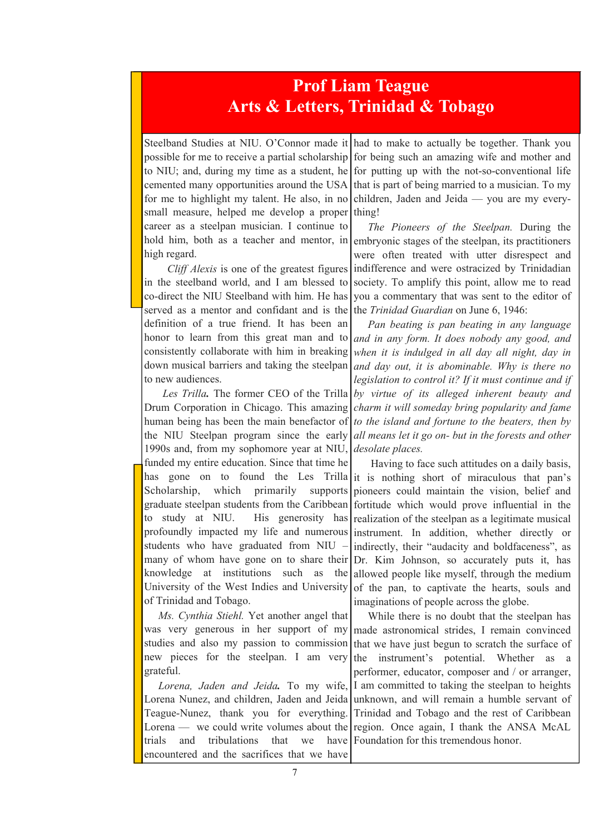#### **Prof Liam Teague Arts & Letters, Trinidad & Tobago**

Steelband Studies at NIU. O'Connor made it possible for me to receive a partial scholarship to NIU; and, during my time as a student, he cemented many opportunities around the USA for me to highlight my talent. He also, in no small measure, helped me develop a proper career as a steelpan musician. I continue to hold him, both as a teacher and mentor, in high regard.

*Cliff Alexis* is one of the greatest figures in the steelband world, and I am blessed to co-direct the NIU Steelband with him. He has served as a mentor and confidant and is the definition of a true friend. It has been an honor to learn from this great man and to consistently collaborate with him in breaking down musical barriers and taking the steelpan to new audiences.

*Les Trilla.* The former CEO of the Trilla Drum Corporation in Chicago. This amazing human being has been the main benefactor of the NIU Steelpan program since the early 1990s and, from my sophomore year at NIU, funded my entire education. Since that time he Scholarship, which primarily supports graduate steelpan students from the Caribbean to study at NIU. His generosity has profoundly impacted my life and numerous students who have graduated from NIU – many of whom have gone on to share their knowledge at institutions such as the University of the West Indies and University of Trinidad and Tobago.

*Ms. Cynthia Stiehl.* Yet another angel that was very generous in her support of my studies and also my passion to commission new pieces for the steelpan. I am very grateful.

*Lorena, Jaden and Jeida.* To my wife, Lorena Nunez, and children, Jaden and Jeida Teague-Nunez, thank you for everything. Lorena — we could write volumes about the trials and tribulations that we have encountered and the sacrifices that we have

had to make to actually be together. Thank you for being such an amazing wife and mother and for putting up with the not-so-conventional life that is part of being married to a musician. To my children, Jaden and Jeida — you are my everything!

*The Pioneers of the Steelpan.* During the embryonic stages of the steelpan, its practitioners were often treated with utter disrespect and indifference and were ostracized by Trinidadian society. To amplify this point, allow me to read you a commentary that was sent to the editor of the *Trinidad Guardian* on June 6, 1946:

*Pan beating is pan beating in any language and in any form. It does nobody any good, and when it is indulged in all day all night, day in and day out, it is abominable. Why is there no legislation to control it? If it must continue and if by virtue of its alleged inherent beauty and charm it will someday bring popularity and fame to the island and fortune to the beaters, then by all means let it go on- but in the forests and other desolate places.*

has gone on to found the Les Trilla it is nothing short of miraculous that pan's Having to face such attitudes on a daily basis, pioneers could maintain the vision, belief and fortitude which would prove influential in the realization of the steelpan as a legitimate musical instrument. In addition, whether directly or indirectly, their "audacity and boldfaceness", as Dr. Kim Johnson, so accurately puts it, has allowed people like myself, through the medium of the pan, to captivate the hearts, souls and imaginations of people across the globe.

> While there is no doubt that the steelpan has made astronomical strides, I remain convinced that we have just begun to scratch the surface of the instrument's potential. Whether as a performer, educator, composer and / or arranger, I am committed to taking the steelpan to heights unknown, and will remain a humble servant of Trinidad and Tobago and the rest of Caribbean region. Once again, I thank the ANSA McAL Foundation for this tremendous honor.